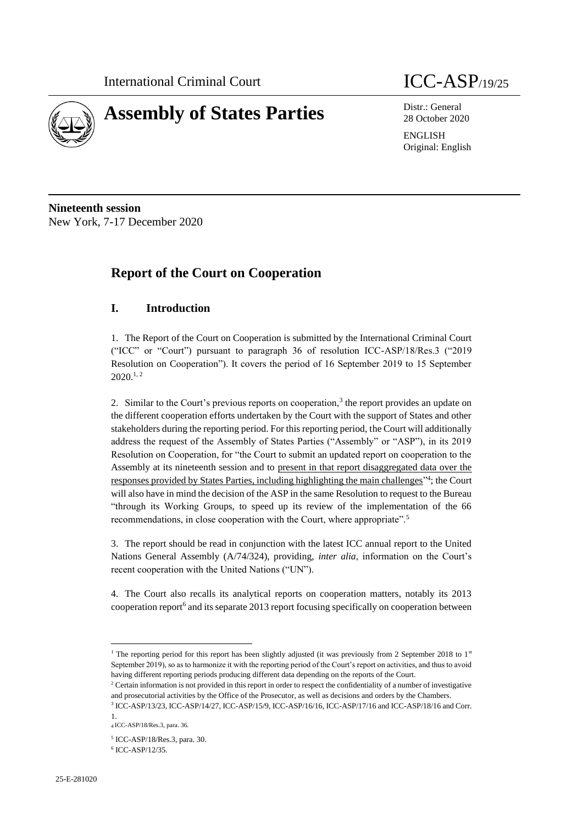

# **Assembly of States Parties** Distr.: General

28 October 2020

ENGLISH Original: English

**Nineteenth session** New York, 7-17 December 2020

# **Report of the Court on Cooperation**

# **I. Introduction**

1. The Report of the Court on Cooperation is submitted by the International Criminal Court ("ICC" or "Court") pursuant to paragraph 36 of resolution ICC-ASP/18/Res.3 ("2019 Resolution on Cooperation"). It covers the period of 16 September 2019 to 15 September  $2020^{1,2}$ 

2. Similar to the Court's previous reports on cooperation,<sup>3</sup> the report provides an update on the different cooperation efforts undertaken by the Court with the support of States and other stakeholders during the reporting period. For this reporting period, the Court will additionally address the request of the Assembly of States Parties ("Assembly" or "ASP"), in its 2019 Resolution on Cooperation, for "the Court to submit an updated report on cooperation to the Assembly at its nineteenth session and to present in that report disaggregated data over the responses provided by States Parties, including highlighting the main challenges<sup>"4</sup>; the Court will also have in mind the decision of the ASP in the same Resolution to request to the Bureau "through its Working Groups, to speed up its review of the implementation of the 66 recommendations, in close cooperation with the Court, where appropriate".<sup>5</sup>

3. The report should be read in conjunction with the latest ICC annual report to the United Nations General Assembly (A/74/324), providing, *inter alia*, information on the Court's recent cooperation with the United Nations ("UN").

4. The Court also recalls its analytical reports on cooperation matters, notably its 2013 cooperation report<sup>6</sup> and its separate 2013 report focusing specifically on cooperation between

<sup>&</sup>lt;sup>1</sup> The reporting period for this report has been slightly adjusted (it was previously from 2 September 2018 to 1<sup>st</sup> September 2019), so as to harmonize it with the reporting period of the Court's report on activities, and thus to avoid having different reporting periods producing different data depending on the reports of the Court.

<sup>&</sup>lt;sup>2</sup> Certain information is not provided in this report in order to respect the confidentiality of a number of investigative and prosecutorial activities by the Office of the Prosecutor, as well as decisions and orders by the Chambers.

<sup>3</sup> ICC-ASP/13/23, ICC-ASP/14/27, ICC-ASP/15/9, ICC-ASP/16/16, ICC-ASP/17/16 and ICC-ASP/18/16 and Corr. 1.

<sup>4</sup> ICC-ASP/18/Res.3, para. 36.

<sup>5</sup> ICC-ASP/18/Res.3, para. 30.

<sup>6</sup> ICC-ASP/12/35.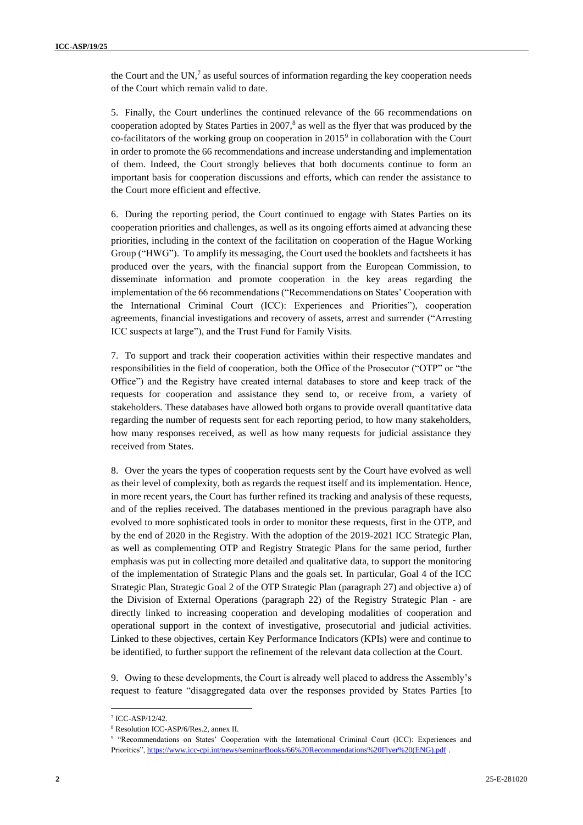the Court and the UN, $<sup>7</sup>$  as useful sources of information regarding the key cooperation needs</sup> of the Court which remain valid to date.

5. Finally, the Court underlines the continued relevance of the 66 recommendations on cooperation adopted by States Parties in  $2007$ ,<sup>8</sup> as well as the flyer that was produced by the co-facilitators of the working group on cooperation in 2015<sup>9</sup> in collaboration with the Court in order to promote the 66 recommendations and increase understanding and implementation of them. Indeed, the Court strongly believes that both documents continue to form an important basis for cooperation discussions and efforts, which can render the assistance to the Court more efficient and effective.

6. During the reporting period, the Court continued to engage with States Parties on its cooperation priorities and challenges, as well as its ongoing efforts aimed at advancing these priorities, including in the context of the facilitation on cooperation of the Hague Working Group ("HWG"). To amplify its messaging, the Court used the booklets and factsheets it has produced over the years, with the financial support from the European Commission, to disseminate information and promote cooperation in the key areas regarding the implementation of the 66 recommendations ("Recommendations on States' Cooperation with the International Criminal Court (ICC): Experiences and Priorities"), cooperation agreements, financial investigations and recovery of assets, arrest and surrender ("Arresting ICC suspects at large"), and the Trust Fund for Family Visits.

7. To support and track their cooperation activities within their respective mandates and responsibilities in the field of cooperation, both the Office of the Prosecutor ("OTP" or "the Office") and the Registry have created internal databases to store and keep track of the requests for cooperation and assistance they send to, or receive from, a variety of stakeholders. These databases have allowed both organs to provide overall quantitative data regarding the number of requests sent for each reporting period, to how many stakeholders, how many responses received, as well as how many requests for judicial assistance they received from States.

8. Over the years the types of cooperation requests sent by the Court have evolved as well as their level of complexity, both as regards the request itself and its implementation. Hence, in more recent years, the Court has further refined its tracking and analysis of these requests, and of the replies received. The databases mentioned in the previous paragraph have also evolved to more sophisticated tools in order to monitor these requests, first in the OTP, and by the end of 2020 in the Registry. With the adoption of the 2019-2021 ICC Strategic Plan, as well as complementing OTP and Registry Strategic Plans for the same period, further emphasis was put in collecting more detailed and qualitative data, to support the monitoring of the implementation of Strategic Plans and the goals set. In particular, Goal 4 of the ICC Strategic Plan, Strategic Goal 2 of the OTP Strategic Plan (paragraph 27) and objective a) of the Division of External Operations (paragraph 22) of the Registry Strategic Plan - are directly linked to increasing cooperation and developing modalities of cooperation and operational support in the context of investigative, prosecutorial and judicial activities. Linked to these objectives, certain Key Performance Indicators (KPIs) were and continue to be identified, to further support the refinement of the relevant data collection at the Court.

9. Owing to these developments, the Court is already well placed to address the Assembly's request to feature "disaggregated data over the responses provided by States Parties [to

<sup>7</sup> ICC-ASP/12/42.

<sup>8</sup> Resolution ICC-ASP/6/Res.2, annex II.

<sup>9</sup> "Recommendations on States' Cooperation with the International Criminal Court (ICC): Experiences and Priorities"[, https://www.icc-cpi.int/news/seminarBooks/66%20Recommendations%20Flyer%20\(ENG\).pdf](https://www.icc-cpi.int/news/seminarBooks/66%20Recommendations%20Flyer%20(ENG).pdf) .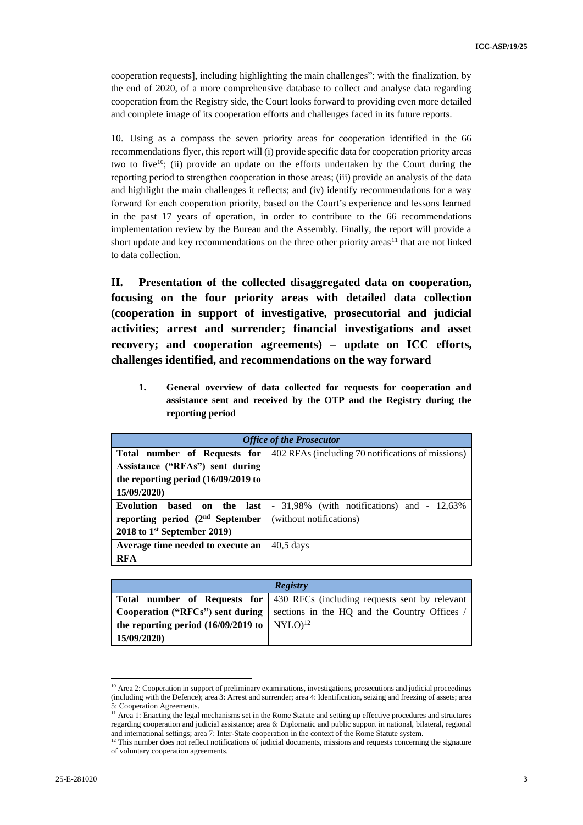cooperation requests], including highlighting the main challenges"; with the finalization, by the end of 2020, of a more comprehensive database to collect and analyse data regarding cooperation from the Registry side, the Court looks forward to providing even more detailed and complete image of its cooperation efforts and challenges faced in its future reports.

10. Using as a compass the seven priority areas for cooperation identified in the 66 recommendations flyer, this report will (i) provide specific data for cooperation priority areas two to five<sup>10</sup>; (ii) provide an update on the efforts undertaken by the Court during the reporting period to strengthen cooperation in those areas; (iii) provide an analysis of the data and highlight the main challenges it reflects; and (iv) identify recommendations for a way forward for each cooperation priority, based on the Court's experience and lessons learned in the past 17 years of operation, in order to contribute to the 66 recommendations implementation review by the Bureau and the Assembly. Finally, the report will provide a short update and key recommendations on the three other priority areas<sup>11</sup> that are not linked to data collection.

**II. Presentation of the collected disaggregated data on cooperation, focusing on the four priority areas with detailed data collection (cooperation in support of investigative, prosecutorial and judicial activities; arrest and surrender; financial investigations and asset recovery; and cooperation agreements) – update on ICC efforts, challenges identified, and recommendations on the way forward**

**1. General overview of data collected for requests for cooperation and assistance sent and received by the OTP and the Registry during the reporting period** 

| <b>Office of the Prosecutor</b>        |                                                   |
|----------------------------------------|---------------------------------------------------|
| Total number of Requests for           | 402 RFAs (including 70 notifications of missions) |
| Assistance ("RFAs") sent during        |                                                   |
| the reporting period $(16/09/2019)$ to |                                                   |
| 15/09/2020)                            |                                                   |
| Evolution<br>based on the last         | $-31,98\%$ (with notifications) and $-12,63\%$    |
| reporting period $(2nd$ September      | (without notifications)                           |
| 2018 to $1st$ September 2019)          |                                                   |
| Average time needed to execute an      | $40.5$ days                                       |
| <b>RFA</b>                             |                                                   |

| <b>Registry</b>                                           |                                                                                   |
|-----------------------------------------------------------|-----------------------------------------------------------------------------------|
|                                                           | <b>Total number of Requests for 430 RFCs (including requests sent by relevant</b> |
|                                                           | Cooperation ("RFCs") sent during   sections in the HQ and the Country Offices /   |
| the reporting period $(16/09/2019 \text{ to } NYLO)^{12}$ |                                                                                   |
| 15/09/2020)                                               |                                                                                   |

 $10$  Area 2: Cooperation in support of preliminary examinations, investigations, prosecutions and judicial proceedings (including with the Defence); area 3: Arrest and surrender; area 4: Identification, seizing and freezing of assets; area 5: Cooperation Agreements.

<sup>&</sup>lt;sup>11</sup> Area 1: Enacting the legal mechanisms set in the Rome Statute and setting up effective procedures and structures regarding cooperation and judicial assistance; area 6: Diplomatic and public support in national, bilateral, regional and international settings; area 7: Inter-State cooperation in the context of the Rome Statute system.

 $12$  This number does not reflect notifications of judicial documents, missions and requests concerning the signature of voluntary cooperation agreements.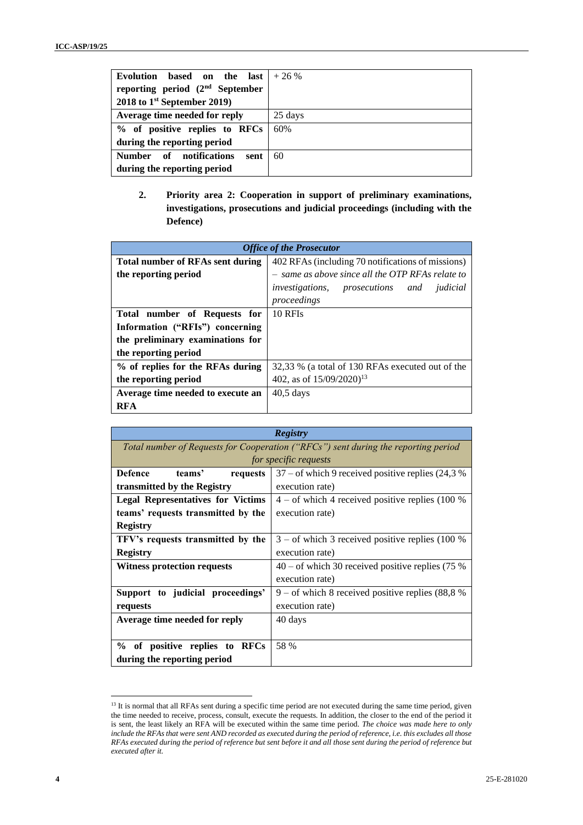| Evolution based on the<br>last  <br>reporting period $(2nd$ September<br>2018 to $1st$ September 2019) | $+26%$  |
|--------------------------------------------------------------------------------------------------------|---------|
| Average time needed for reply                                                                          | 25 days |
| % of positive replies to RFCs                                                                          | 60%     |
| during the reporting period                                                                            |         |
| Number of notifications<br>sent                                                                        | 60      |
| during the reporting period                                                                            |         |

**2. Priority area 2: Cooperation in support of preliminary examinations, investigations, prosecutions and judicial proceedings (including with the Defence)**

| <b>Office of the Prosecutor</b>         |                                                             |
|-----------------------------------------|-------------------------------------------------------------|
| <b>Total number of RFAs sent during</b> | 402 RFAs (including 70 notifications of missions)           |
| the reporting period                    | - same as above since all the OTP RFAs relate to            |
|                                         | <i>investigations</i> , <i>prosecutions</i> and<br>judicial |
|                                         | proceedings                                                 |
| Total number of Requests for            | 10 RFIs                                                     |
| Information ("RFIs") concerning         |                                                             |
| the preliminary examinations for        |                                                             |
| the reporting period                    |                                                             |
| % of replies for the RFAs during        | 32,33 % (a total of 130 RFAs executed out of the            |
| the reporting period                    | 402, as of $15/09/2020$ <sup>13</sup>                       |
| Average time needed to execute an       | $40.5$ days                                                 |
| <b>RFA</b>                              |                                                             |

| <b>Registry</b>                                                                    |                                                      |
|------------------------------------------------------------------------------------|------------------------------------------------------|
| Total number of Requests for Cooperation ("RFCs") sent during the reporting period |                                                      |
| for specific requests                                                              |                                                      |
| <b>Defence</b><br>teams'<br>requests                                               | $37$ – of which 9 received positive replies (24,3 %) |
| transmitted by the Registry                                                        | execution rate)                                      |
| <b>Legal Representatives for Victims</b>                                           | $4 - of$ which 4 received positive replies (100 %)   |
| teams' requests transmitted by the                                                 | execution rate)                                      |
| <b>Registry</b>                                                                    |                                                      |
| TFV's requests transmitted by the                                                  | $3 -$ of which 3 received positive replies (100 %)   |
| <b>Registry</b>                                                                    | execution rate)                                      |
| Witness protection requests                                                        | $40 -$ of which 30 received positive replies (75 %   |
|                                                                                    | execution rate)                                      |
| Support to judicial proceedings'                                                   | 9 – of which 8 received positive replies $(88,8%$    |
| requests                                                                           | execution rate)                                      |
| Average time needed for reply                                                      | 40 days                                              |
|                                                                                    |                                                      |
| % of positive replies to RFCs                                                      | 58 %                                                 |
| during the reporting period                                                        |                                                      |

<sup>&</sup>lt;sup>13</sup> It is normal that all RFAs sent during a specific time period are not executed during the same time period, given the time needed to receive, process, consult, execute the requests. In addition, the closer to the end of the period it is sent, the least likely an RFA will be executed within the same time period. *The choice was made here to only include the RFAs that were sent AND recorded as executed during the period of reference, i.e. this excludes all those RFAs executed during the period of reference but sent before it and all those sent during the period of reference but executed after it.*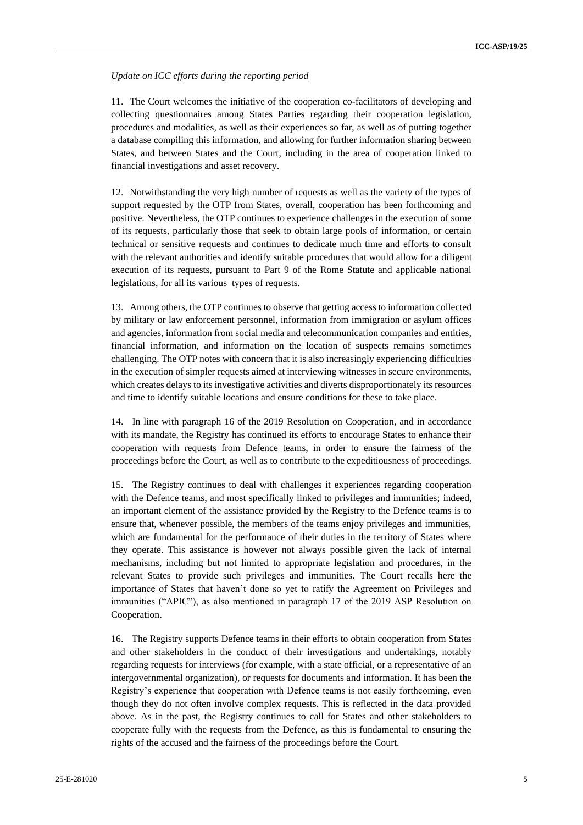#### *Update on ICC efforts during the reporting period*

11. The Court welcomes the initiative of the cooperation co-facilitators of developing and collecting questionnaires among States Parties regarding their cooperation legislation, procedures and modalities, as well as their experiences so far, as well as of putting together a database compiling this information, and allowing for further information sharing between States, and between States and the Court, including in the area of cooperation linked to financial investigations and asset recovery.

12. Notwithstanding the very high number of requests as well as the variety of the types of support requested by the OTP from States, overall, cooperation has been forthcoming and positive. Nevertheless, the OTP continues to experience challenges in the execution of some of its requests, particularly those that seek to obtain large pools of information, or certain technical or sensitive requests and continues to dedicate much time and efforts to consult with the relevant authorities and identify suitable procedures that would allow for a diligent execution of its requests, pursuant to Part 9 of the Rome Statute and applicable national legislations, for all its various types of requests.

13. Among others, the OTP continues to observe that getting access to information collected by military or law enforcement personnel, information from immigration or asylum offices and agencies, information from social media and telecommunication companies and entities, financial information, and information on the location of suspects remains sometimes challenging. The OTP notes with concern that it is also increasingly experiencing difficulties in the execution of simpler requests aimed at interviewing witnesses in secure environments, which creates delays to its investigative activities and diverts disproportionately its resources and time to identify suitable locations and ensure conditions for these to take place.

14. In line with paragraph 16 of the 2019 Resolution on Cooperation, and in accordance with its mandate, the Registry has continued its efforts to encourage States to enhance their cooperation with requests from Defence teams, in order to ensure the fairness of the proceedings before the Court, as well as to contribute to the expeditiousness of proceedings.

15. The Registry continues to deal with challenges it experiences regarding cooperation with the Defence teams, and most specifically linked to privileges and immunities; indeed, an important element of the assistance provided by the Registry to the Defence teams is to ensure that, whenever possible, the members of the teams enjoy privileges and immunities, which are fundamental for the performance of their duties in the territory of States where they operate. This assistance is however not always possible given the lack of internal mechanisms, including but not limited to appropriate legislation and procedures, in the relevant States to provide such privileges and immunities. The Court recalls here the importance of States that haven't done so yet to ratify the Agreement on Privileges and immunities ("APIC"), as also mentioned in paragraph 17 of the 2019 ASP Resolution on Cooperation.

16. The Registry supports Defence teams in their efforts to obtain cooperation from States and other stakeholders in the conduct of their investigations and undertakings, notably regarding requests for interviews (for example, with a state official, or a representative of an intergovernmental organization), or requests for documents and information. It has been the Registry's experience that cooperation with Defence teams is not easily forthcoming, even though they do not often involve complex requests. This is reflected in the data provided above. As in the past, the Registry continues to call for States and other stakeholders to cooperate fully with the requests from the Defence, as this is fundamental to ensuring the rights of the accused and the fairness of the proceedings before the Court.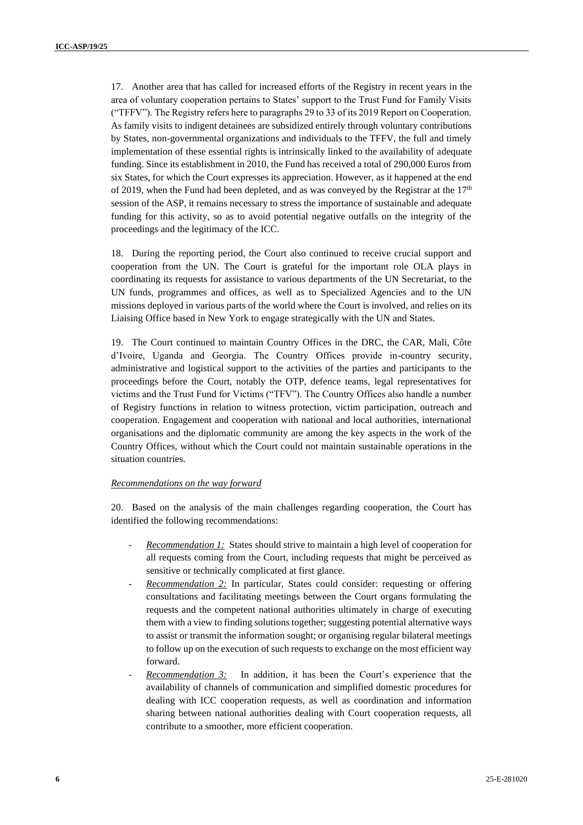17. Another area that has called for increased efforts of the Registry in recent years in the area of voluntary cooperation pertains to States' support to the Trust Fund for Family Visits ("TFFV"). The Registry refers here to paragraphs 29 to 33 of its 2019 Report on Cooperation. As family visits to indigent detainees are subsidized entirely through voluntary contributions by States, non-governmental organizations and individuals to the TFFV, the full and timely implementation of these essential rights is intrinsically linked to the availability of adequate funding. Since its establishment in 2010, the Fund has received a total of 290,000 Euros from six States, for which the Court expresses its appreciation. However, as it happened at the end of 2019, when the Fund had been depleted, and as was conveyed by the Registrar at the  $17<sup>th</sup>$ session of the ASP, it remains necessary to stress the importance of sustainable and adequate funding for this activity, so as to avoid potential negative outfalls on the integrity of the proceedings and the legitimacy of the ICC.

18. During the reporting period, the Court also continued to receive crucial support and cooperation from the UN. The Court is grateful for the important role OLA plays in coordinating its requests for assistance to various departments of the UN Secretariat, to the UN funds, programmes and offices, as well as to Specialized Agencies and to the UN missions deployed in various parts of the world where the Court is involved, and relies on its Liaising Office based in New York to engage strategically with the UN and States.

19. The Court continued to maintain Country Offices in the DRC, the CAR, Mali, Côte d'Ivoire, Uganda and Georgia. The Country Offices provide in-country security, administrative and logistical support to the activities of the parties and participants to the proceedings before the Court, notably the OTP, defence teams, legal representatives for victims and the Trust Fund for Victims ("TFV"). The Country Offices also handle a number of Registry functions in relation to witness protection, victim participation, outreach and cooperation. Engagement and cooperation with national and local authorities, international organisations and the diplomatic community are among the key aspects in the work of the Country Offices, without which the Court could not maintain sustainable operations in the situation countries.

#### *Recommendations on the way forward*

20. Based on the analysis of the main challenges regarding cooperation, the Court has identified the following recommendations:

- *Recommendation 1:* States should strive to maintain a high level of cooperation for all requests coming from the Court, including requests that might be perceived as sensitive or technically complicated at first glance.
- *Recommendation 2:* In particular, States could consider: requesting or offering consultations and facilitating meetings between the Court organs formulating the requests and the competent national authorities ultimately in charge of executing them with a view to finding solutions together; suggesting potential alternative ways to assist or transmit the information sought; or organising regular bilateral meetings to follow up on the execution of such requests to exchange on the most efficient way forward.
- Recommendation 3: In addition, it has been the Court's experience that the availability of channels of communication and simplified domestic procedures for dealing with ICC cooperation requests, as well as coordination and information sharing between national authorities dealing with Court cooperation requests, all contribute to a smoother, more efficient cooperation.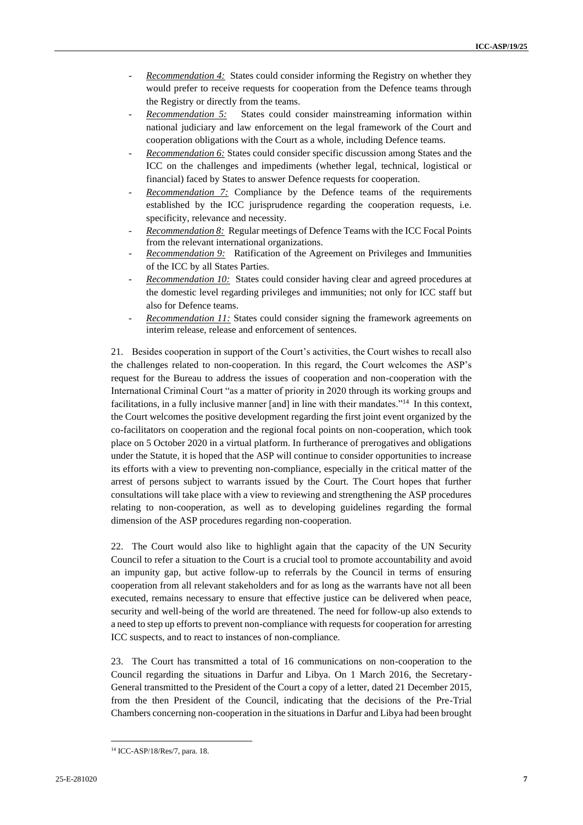- *Recommendation 4:* States could consider informing the Registry on whether they would prefer to receive requests for cooperation from the Defence teams through the Registry or directly from the teams.
- *Recommendation 5:* States could consider mainstreaming information within national judiciary and law enforcement on the legal framework of the Court and cooperation obligations with the Court as a whole, including Defence teams.
- *Recommendation 6:* States could consider specific discussion among States and the ICC on the challenges and impediments (whether legal, technical, logistical or financial) faced by States to answer Defence requests for cooperation.
- *Recommendation 7:* Compliance by the Defence teams of the requirements established by the ICC jurisprudence regarding the cooperation requests, i.e. specificity, relevance and necessity.
- *Recommendation 8:* Regular meetings of Defence Teams with the ICC Focal Points from the relevant international organizations.
- *Recommendation 9:* Ratification of the Agreement on Privileges and Immunities of the ICC by all States Parties.
- *Recommendation 10:* States could consider having clear and agreed procedures at the domestic level regarding privileges and immunities; not only for ICC staff but also for Defence teams.
- *Recommendation 11:* States could consider signing the framework agreements on interim release, release and enforcement of sentences.

21. Besides cooperation in support of the Court's activities, the Court wishes to recall also the challenges related to non-cooperation. In this regard, the Court welcomes the ASP's request for the Bureau to address the issues of cooperation and non-cooperation with the International Criminal Court "as a matter of priority in 2020 through its working groups and facilitations, in a fully inclusive manner [and] in line with their mandates."<sup>14</sup> In this context, the Court welcomes the positive development regarding the first joint event organized by the co-facilitators on cooperation and the regional focal points on non-cooperation, which took place on 5 October 2020 in a virtual platform. In furtherance of prerogatives and obligations under the Statute, it is hoped that the ASP will continue to consider opportunities to increase its efforts with a view to preventing non-compliance, especially in the critical matter of the arrest of persons subject to warrants issued by the Court. The Court hopes that further consultations will take place with a view to reviewing and strengthening the ASP procedures relating to non-cooperation, as well as to developing guidelines regarding the formal dimension of the ASP procedures regarding non-cooperation.

22. The Court would also like to highlight again that the capacity of the UN Security Council to refer a situation to the Court is a crucial tool to promote accountability and avoid an impunity gap, but active follow-up to referrals by the Council in terms of ensuring cooperation from all relevant stakeholders and for as long as the warrants have not all been executed, remains necessary to ensure that effective justice can be delivered when peace, security and well-being of the world are threatened. The need for follow-up also extends to a need to step up efforts to prevent non-compliance with requests for cooperation for arresting ICC suspects, and to react to instances of non-compliance.

23. The Court has transmitted a total of 16 communications on non-cooperation to the Council regarding the situations in Darfur and Libya. On 1 March 2016, the Secretary-General transmitted to the President of the Court a copy of a letter, dated 21 December 2015, from the then President of the Council, indicating that the decisions of the Pre-Trial Chambers concerning non-cooperation in the situations in Darfur and Libya had been brought

<sup>14</sup> ICC-ASP/18/Res/7, para. 18.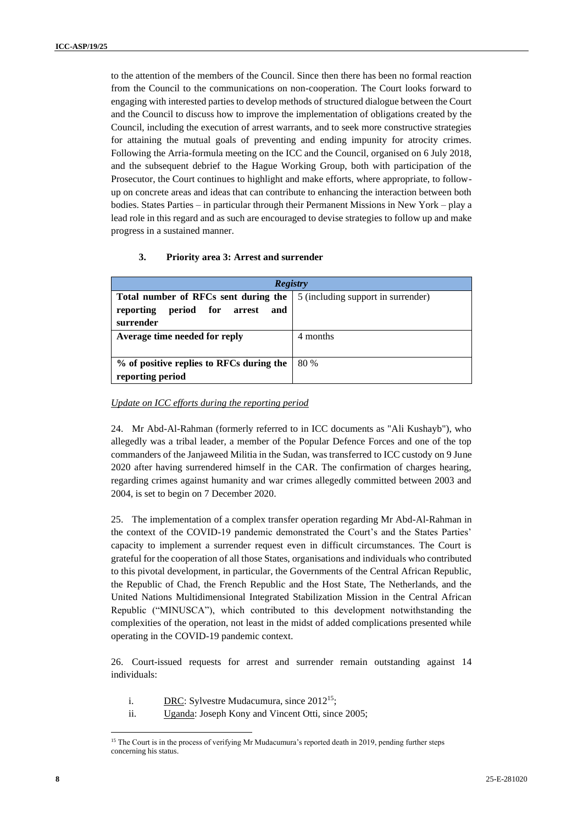to the attention of the members of the Council. Since then there has been no formal reaction from the Council to the communications on non-cooperation. The Court looks forward to engaging with interested parties to develop methods of structured dialogue between the Court and the Council to discuss how to improve the implementation of obligations created by the Council, including the execution of arrest warrants, and to seek more constructive strategies for attaining the mutual goals of preventing and ending impunity for atrocity crimes. Following the Arria-formula meeting on the ICC and the Council, organised on 6 July 2018, and the subsequent debrief to the Hague Working Group, both with participation of the Prosecutor, the Court continues to highlight and make efforts, where appropriate, to followup on concrete areas and ideas that can contribute to enhancing the interaction between both bodies. States Parties – in particular through their Permanent Missions in New York – play a lead role in this regard and as such are encouraged to devise strategies to follow up and make progress in a sustained manner.

#### **3. Priority area 3: Arrest and surrender**

| <b>Registry</b>                                 |                                    |
|-------------------------------------------------|------------------------------------|
| Total number of RFCs sent during the            | 5 (including support in surrender) |
| reporting period for arrest<br>and<br>surrender |                                    |
| Average time needed for reply                   | 4 months                           |
|                                                 |                                    |
| % of positive replies to RFCs during the        | 80 %                               |
| reporting period                                |                                    |

#### *Update on ICC efforts during the reporting period*

24. Mr Abd-Al-Rahman (formerly referred to in ICC documents as "Ali Kushayb"), who allegedly was a tribal leader, a member of the Popular Defence Forces and one of the top commanders of the Janjaweed Militia in the Sudan, was transferred to ICC custody on 9 June 2020 after having surrendered himself in the CAR. The confirmation of charges hearing, regarding crimes against humanity and war crimes allegedly committed between 2003 and 2004, is set to begin on 7 December 2020.

25. The implementation of a complex transfer operation regarding Mr Abd-Al-Rahman in the context of the COVID-19 pandemic demonstrated the Court's and the States Parties' capacity to implement a surrender request even in difficult circumstances. The Court is grateful for the cooperation of all those States, organisations and individuals who contributed to this pivotal development, in particular, the Governments of the Central African Republic, the Republic of Chad, the French Republic and the Host State, The Netherlands, and the United Nations Multidimensional Integrated Stabilization Mission in the Central African Republic ("MINUSCA"), which contributed to this development notwithstanding the complexities of the operation, not least in the midst of added complications presented while operating in the COVID-19 pandemic context.

26. Court-issued requests for arrest and surrender remain outstanding against 14 individuals:

- i. DRC: Sylvestre Mudacumura, since 2012<sup>15</sup>;
- ii. Uganda: Joseph Kony and Vincent Otti, since 2005;

<sup>&</sup>lt;sup>15</sup> The Court is in the process of verifying Mr Mudacumura's reported death in 2019, pending further steps concerning his status.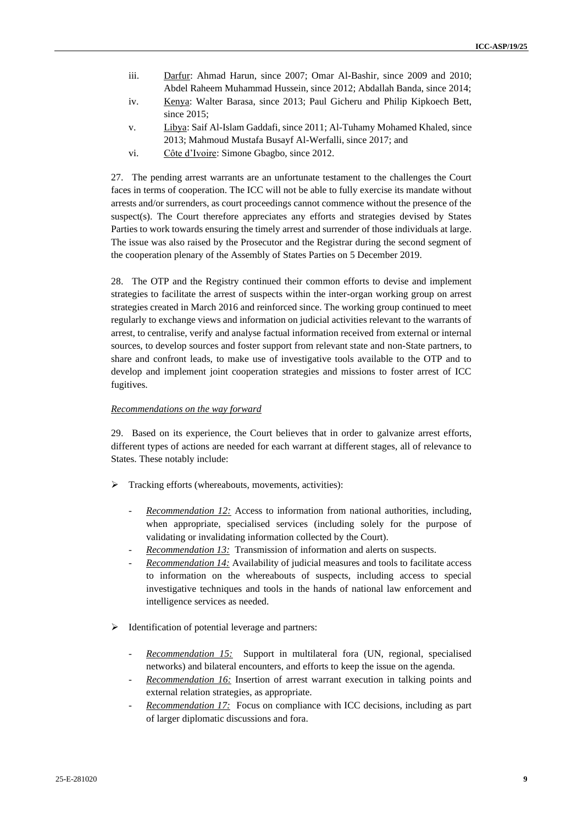- iii. Darfur: Ahmad Harun, since 2007; Omar Al-Bashir, since 2009 and 2010; Abdel Raheem Muhammad Hussein, since 2012; Abdallah Banda, since 2014;
- iv. Kenya: Walter Barasa, since 2013; Paul Gicheru and Philip Kipkoech Bett, since 2015;
- v. Libya: Saif Al-Islam Gaddafi, since 2011; Al-Tuhamy Mohamed Khaled, since 2013; Mahmoud Mustafa Busayf Al-Werfalli, since 2017; and
- vi. Côte d'Ivoire: Simone Gbagbo, since 2012.

27. The pending arrest warrants are an unfortunate testament to the challenges the Court faces in terms of cooperation. The ICC will not be able to fully exercise its mandate without arrests and/or surrenders, as court proceedings cannot commence without the presence of the suspect(s). The Court therefore appreciates any efforts and strategies devised by States Parties to work towards ensuring the timely arrest and surrender of those individuals at large. The issue was also raised by the Prosecutor and the Registrar during the second segment of the cooperation plenary of the Assembly of States Parties on 5 December 2019.

28. The OTP and the Registry continued their common efforts to devise and implement strategies to facilitate the arrest of suspects within the inter-organ working group on arrest strategies created in March 2016 and reinforced since. The working group continued to meet regularly to exchange views and information on judicial activities relevant to the warrants of arrest, to centralise, verify and analyse factual information received from external or internal sources, to develop sources and foster support from relevant state and non-State partners, to share and confront leads, to make use of investigative tools available to the OTP and to develop and implement joint cooperation strategies and missions to foster arrest of ICC fugitives.

#### *Recommendations on the way forward*

29. Based on its experience, the Court believes that in order to galvanize arrest efforts, different types of actions are needed for each warrant at different stages, all of relevance to States. These notably include:

- ➢ Tracking efforts (whereabouts, movements, activities):
	- *Recommendation 12:* Access to information from national authorities, including, when appropriate, specialised services (including solely for the purpose of validating or invalidating information collected by the Court).
	- *Recommendation 13:* Transmission of information and alerts on suspects.
	- *Recommendation 14:* Availability of judicial measures and tools to facilitate access to information on the whereabouts of suspects, including access to special investigative techniques and tools in the hands of national law enforcement and intelligence services as needed.
- ➢ Identification of potential leverage and partners:
	- *Recommendation 15:* Support in multilateral fora (UN, regional, specialised networks) and bilateral encounters, and efforts to keep the issue on the agenda.
	- *Recommendation 16:* Insertion of arrest warrant execution in talking points and external relation strategies, as appropriate.
	- *Recommendation 17:* Focus on compliance with ICC decisions, including as part of larger diplomatic discussions and fora.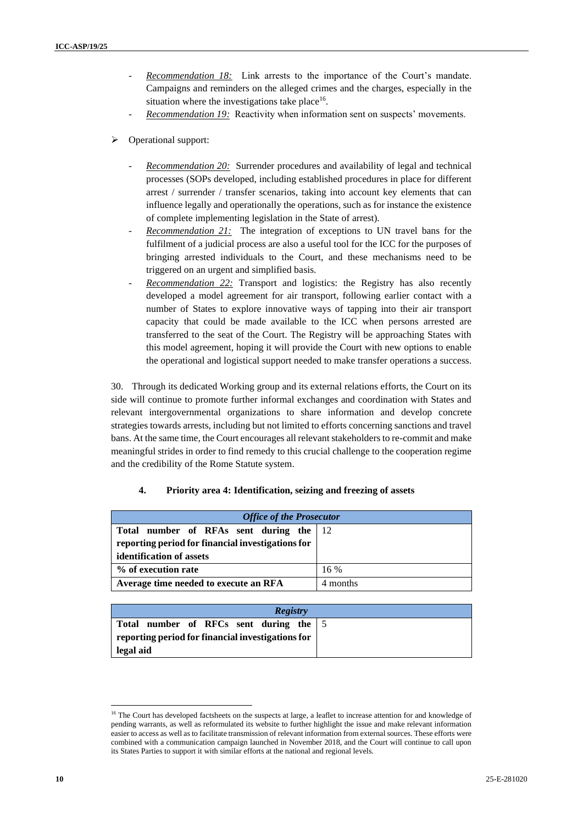- Recommendation 18: Link arrests to the importance of the Court's mandate. Campaigns and reminders on the alleged crimes and the charges, especially in the situation where the investigations take place<sup>16</sup>.
- *Recommendation 19:* Reactivity when information sent on suspects' movements.
- ➢ Operational support:
	- *Recommendation 20:* Surrender procedures and availability of legal and technical processes (SOPs developed, including established procedures in place for different arrest / surrender / transfer scenarios, taking into account key elements that can influence legally and operationally the operations, such as for instance the existence of complete implementing legislation in the State of arrest).
	- *Recommendation 21:* The integration of exceptions to UN travel bans for the fulfilment of a judicial process are also a useful tool for the ICC for the purposes of bringing arrested individuals to the Court, and these mechanisms need to be triggered on an urgent and simplified basis.
	- *Recommendation 22:* Transport and logistics: the Registry has also recently developed a model agreement for air transport, following earlier contact with a number of States to explore innovative ways of tapping into their air transport capacity that could be made available to the ICC when persons arrested are transferred to the seat of the Court. The Registry will be approaching States with this model agreement, hoping it will provide the Court with new options to enable the operational and logistical support needed to make transfer operations a success.

30. Through its dedicated Working group and its external relations efforts, the Court on its side will continue to promote further informal exchanges and coordination with States and relevant intergovernmental organizations to share information and develop concrete strategies towards arrests, including but not limited to efforts concerning sanctions and travel bans. At the same time, the Court encourages all relevant stakeholders to re-commit and make meaningful strides in order to find remedy to this crucial challenge to the cooperation regime and the credibility of the Rome Statute system.

# **4. Priority area 4: Identification, seizing and freezing of assets**

| <b>Office of the Prosecutor</b>                                                                                          |          |  |
|--------------------------------------------------------------------------------------------------------------------------|----------|--|
| Total number of RFAs sent during the 12<br>reporting period for financial investigations for<br>identification of assets |          |  |
| % of execution rate                                                                                                      | $16\%$   |  |
| Average time needed to execute an RFA                                                                                    | 4 months |  |

| <b>Registry</b>                                   |  |
|---------------------------------------------------|--|
| Total number of RFCs sent during the   5          |  |
| reporting period for financial investigations for |  |
| legal aid                                         |  |

<sup>&</sup>lt;sup>16</sup> The Court has developed factsheets on the suspects at large, a leaflet to increase attention for and knowledge of pending warrants, as well as reformulated its website to further highlight the issue and make relevant information easier to access as well as to facilitate transmission of relevant information from external sources. These efforts were combined with a communication campaign launched in November 2018, and the Court will continue to call upon its States Parties to support it with similar efforts at the national and regional levels.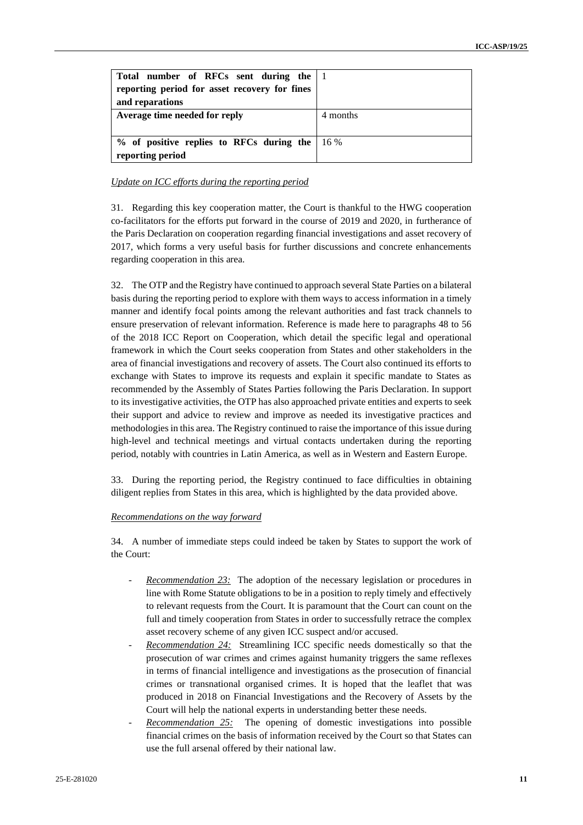| Total number of RFCs sent during the $ 1 $<br>reporting period for asset recovery for fines<br>and reparations |          |
|----------------------------------------------------------------------------------------------------------------|----------|
| Average time needed for reply                                                                                  | 4 months |
| $%$ of positive replies to RFCs during the 16%<br>reporting period                                             |          |

## *Update on ICC efforts during the reporting period*

31. Regarding this key cooperation matter, the Court is thankful to the HWG cooperation co-facilitators for the efforts put forward in the course of 2019 and 2020, in furtherance of the Paris Declaration on cooperation regarding financial investigations and asset recovery of 2017, which forms a very useful basis for further discussions and concrete enhancements regarding cooperation in this area.

32. The OTP and the Registry have continued to approach several State Parties on a bilateral basis during the reporting period to explore with them ways to access information in a timely manner and identify focal points among the relevant authorities and fast track channels to ensure preservation of relevant information. Reference is made here to paragraphs 48 to 56 of the 2018 ICC Report on Cooperation, which detail the specific legal and operational framework in which the Court seeks cooperation from States and other stakeholders in the area of financial investigations and recovery of assets. The Court also continued its efforts to exchange with States to improve its requests and explain it specific mandate to States as recommended by the Assembly of States Parties following the Paris Declaration. In support to its investigative activities, the OTP has also approached private entities and experts to seek their support and advice to review and improve as needed its investigative practices and methodologies in this area. The Registry continued to raise the importance of this issue during high-level and technical meetings and virtual contacts undertaken during the reporting period, notably with countries in Latin America, as well as in Western and Eastern Europe.

33. During the reporting period, the Registry continued to face difficulties in obtaining diligent replies from States in this area, which is highlighted by the data provided above.

#### *Recommendations on the way forward*

34. A number of immediate steps could indeed be taken by States to support the work of the Court:

- *Recommendation 23:* The adoption of the necessary legislation or procedures in line with Rome Statute obligations to be in a position to reply timely and effectively to relevant requests from the Court. It is paramount that the Court can count on the full and timely cooperation from States in order to successfully retrace the complex asset recovery scheme of any given ICC suspect and/or accused.
- *Recommendation 24:* Streamlining ICC specific needs domestically so that the prosecution of war crimes and crimes against humanity triggers the same reflexes in terms of financial intelligence and investigations as the prosecution of financial crimes or transnational organised crimes. It is hoped that the leaflet that was produced in 2018 on Financial Investigations and the Recovery of Assets by the Court will help the national experts in understanding better these needs.
- *Recommendation 25:* The opening of domestic investigations into possible financial crimes on the basis of information received by the Court so that States can use the full arsenal offered by their national law.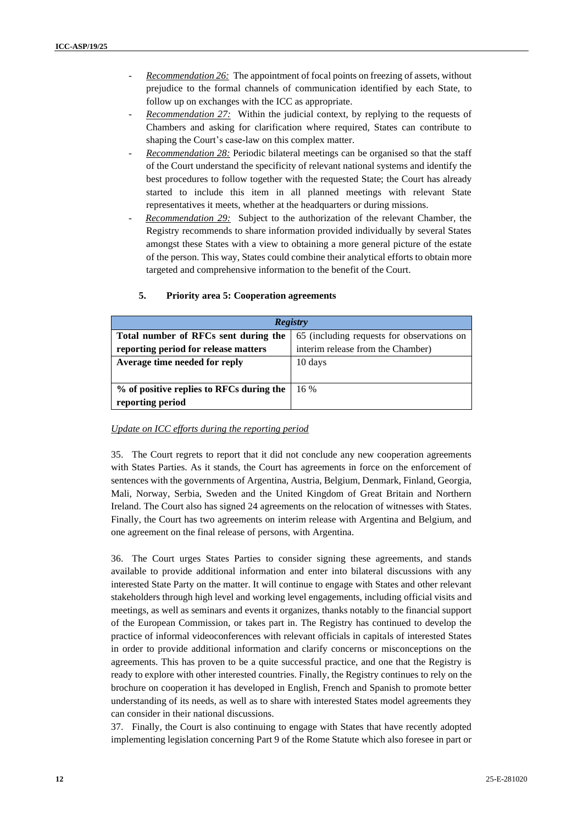- *Recommendation 26:* The appointment of focal points on freezing of assets, without prejudice to the formal channels of communication identified by each State, to follow up on exchanges with the ICC as appropriate.
- *Recommendation 27:* Within the judicial context, by replying to the requests of Chambers and asking for clarification where required, States can contribute to shaping the Court's case-law on this complex matter.
- *Recommendation 28:* Periodic bilateral meetings can be organised so that the staff of the Court understand the specificity of relevant national systems and identify the best procedures to follow together with the requested State; the Court has already started to include this item in all planned meetings with relevant State representatives it meets, whether at the headquarters or during missions.
- Recommendation 29: Subject to the authorization of the relevant Chamber, the Registry recommends to share information provided individually by several States amongst these States with a view to obtaining a more general picture of the estate of the person. This way, States could combine their analytical efforts to obtain more targeted and comprehensive information to the benefit of the Court.

| <b>Registry</b>                          |                                            |
|------------------------------------------|--------------------------------------------|
| Total number of RFCs sent during the     | 65 (including requests for observations on |
| reporting period for release matters     | interim release from the Chamber)          |
| Average time needed for reply            | 10 days                                    |
|                                          |                                            |
| % of positive replies to RFCs during the | 16 %                                       |
| reporting period                         |                                            |

# **5. Priority area 5: Cooperation agreements**

#### *Update on ICC efforts during the reporting period*

35. The Court regrets to report that it did not conclude any new cooperation agreements with States Parties. As it stands, the Court has agreements in force on the enforcement of sentences with the governments of Argentina, Austria, Belgium, Denmark, Finland, Georgia, Mali, Norway, Serbia, Sweden and the United Kingdom of Great Britain and Northern Ireland. The Court also has signed 24 agreements on the relocation of witnesses with States. Finally, the Court has two agreements on interim release with Argentina and Belgium, and one agreement on the final release of persons, with Argentina.

36. The Court urges States Parties to consider signing these agreements, and stands available to provide additional information and enter into bilateral discussions with any interested State Party on the matter. It will continue to engage with States and other relevant stakeholders through high level and working level engagements, including official visits and meetings, as well as seminars and events it organizes, thanks notably to the financial support of the European Commission, or takes part in. The Registry has continued to develop the practice of informal videoconferences with relevant officials in capitals of interested States in order to provide additional information and clarify concerns or misconceptions on the agreements. This has proven to be a quite successful practice, and one that the Registry is ready to explore with other interested countries. Finally, the Registry continues to rely on the brochure on cooperation it has developed in English, French and Spanish to promote better understanding of its needs, as well as to share with interested States model agreements they can consider in their national discussions.

37. Finally, the Court is also continuing to engage with States that have recently adopted implementing legislation concerning Part 9 of the Rome Statute which also foresee in part or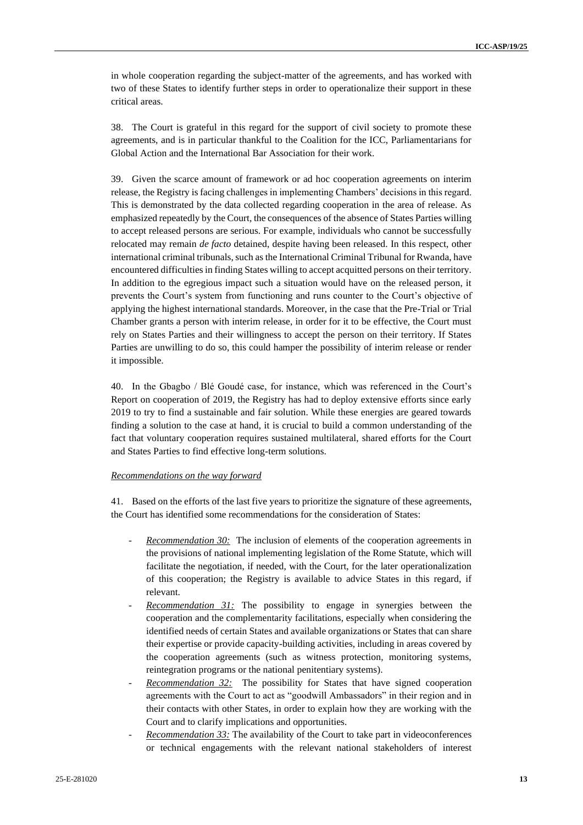in whole cooperation regarding the subject-matter of the agreements, and has worked with two of these States to identify further steps in order to operationalize their support in these critical areas.

38. The Court is grateful in this regard for the support of civil society to promote these agreements, and is in particular thankful to the Coalition for the ICC, Parliamentarians for Global Action and the International Bar Association for their work.

39. Given the scarce amount of framework or ad hoc cooperation agreements on interim release, the Registry is facing challenges in implementing Chambers' decisions in this regard. This is demonstrated by the data collected regarding cooperation in the area of release. As emphasized repeatedly by the Court, the consequences of the absence of States Parties willing to accept released persons are serious. For example, individuals who cannot be successfully relocated may remain *de facto* detained, despite having been released. In this respect, other international criminal tribunals, such as the International Criminal Tribunal for Rwanda, have encountered difficulties in finding States willing to accept acquitted persons on their territory. In addition to the egregious impact such a situation would have on the released person, it prevents the Court's system from functioning and runs counter to the Court's objective of applying the highest international standards. Moreover, in the case that the Pre-Trial or Trial Chamber grants a person with interim release, in order for it to be effective, the Court must rely on States Parties and their willingness to accept the person on their territory. If States Parties are unwilling to do so, this could hamper the possibility of interim release or render it impossible.

40. In the Gbagbo / Blé Goudé case, for instance, which was referenced in the Court's Report on cooperation of 2019, the Registry has had to deploy extensive efforts since early 2019 to try to find a sustainable and fair solution. While these energies are geared towards finding a solution to the case at hand, it is crucial to build a common understanding of the fact that voluntary cooperation requires sustained multilateral, shared efforts for the Court and States Parties to find effective long-term solutions.

# *Recommendations on the way forward*

41. Based on the efforts of the last five years to prioritize the signature of these agreements, the Court has identified some recommendations for the consideration of States:

- *Recommendation 30:* The inclusion of elements of the cooperation agreements in the provisions of national implementing legislation of the Rome Statute, which will facilitate the negotiation, if needed, with the Court, for the later operationalization of this cooperation; the Registry is available to advice States in this regard, if relevant.
- *Recommendation 31:* The possibility to engage in synergies between the cooperation and the complementarity facilitations, especially when considering the identified needs of certain States and available organizations or States that can share their expertise or provide capacity-building activities, including in areas covered by the cooperation agreements (such as witness protection, monitoring systems, reintegration programs or the national penitentiary systems).
- *Recommendation 32:* The possibility for States that have signed cooperation agreements with the Court to act as "goodwill Ambassadors" in their region and in their contacts with other States, in order to explain how they are working with the Court and to clarify implications and opportunities.
- *Recommendation 33:* The availability of the Court to take part in videoconferences or technical engagements with the relevant national stakeholders of interest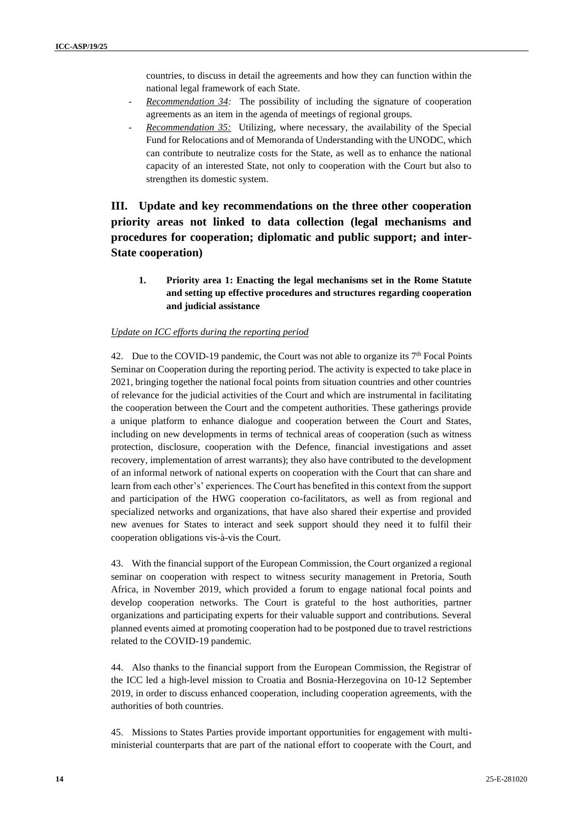countries, to discuss in detail the agreements and how they can function within the national legal framework of each State.

- *Recommendation 34:* The possibility of including the signature of cooperation agreements as an item in the agenda of meetings of regional groups.
- *Recommendation 35:* Utilizing, where necessary, the availability of the Special Fund for Relocations and of Memoranda of Understanding with the UNODC, which can contribute to neutralize costs for the State, as well as to enhance the national capacity of an interested State, not only to cooperation with the Court but also to strengthen its domestic system.

# **III. Update and key recommendations on the three other cooperation priority areas not linked to data collection (legal mechanisms and procedures for cooperation; diplomatic and public support; and inter-State cooperation)**

**1. Priority area 1: Enacting the legal mechanisms set in the Rome Statute and setting up effective procedures and structures regarding cooperation and judicial assistance**

#### *Update on ICC efforts during the reporting period*

42. Due to the COVID-19 pandemic, the Court was not able to organize its  $7<sup>th</sup>$  Focal Points Seminar on Cooperation during the reporting period. The activity is expected to take place in 2021, bringing together the national focal points from situation countries and other countries of relevance for the judicial activities of the Court and which are instrumental in facilitating the cooperation between the Court and the competent authorities. These gatherings provide a unique platform to enhance dialogue and cooperation between the Court and States, including on new developments in terms of technical areas of cooperation (such as witness protection, disclosure, cooperation with the Defence, financial investigations and asset recovery, implementation of arrest warrants); they also have contributed to the development of an informal network of national experts on cooperation with the Court that can share and learn from each other's' experiences. The Court has benefited in this context from the support and participation of the HWG cooperation co-facilitators, as well as from regional and specialized networks and organizations, that have also shared their expertise and provided new avenues for States to interact and seek support should they need it to fulfil their cooperation obligations vis-à-vis the Court.

43. With the financial support of the European Commission, the Court organized a regional seminar on cooperation with respect to witness security management in Pretoria, South Africa, in November 2019, which provided a forum to engage national focal points and develop cooperation networks. The Court is grateful to the host authorities, partner organizations and participating experts for their valuable support and contributions. Several planned events aimed at promoting cooperation had to be postponed due to travel restrictions related to the COVID-19 pandemic.

44. Also thanks to the financial support from the European Commission, the Registrar of the ICC led a high-level mission to Croatia and Bosnia-Herzegovina on 10-12 September 2019, in order to discuss enhanced cooperation, including cooperation agreements, with the authorities of both countries.

45. Missions to States Parties provide important opportunities for engagement with multiministerial counterparts that are part of the national effort to cooperate with the Court, and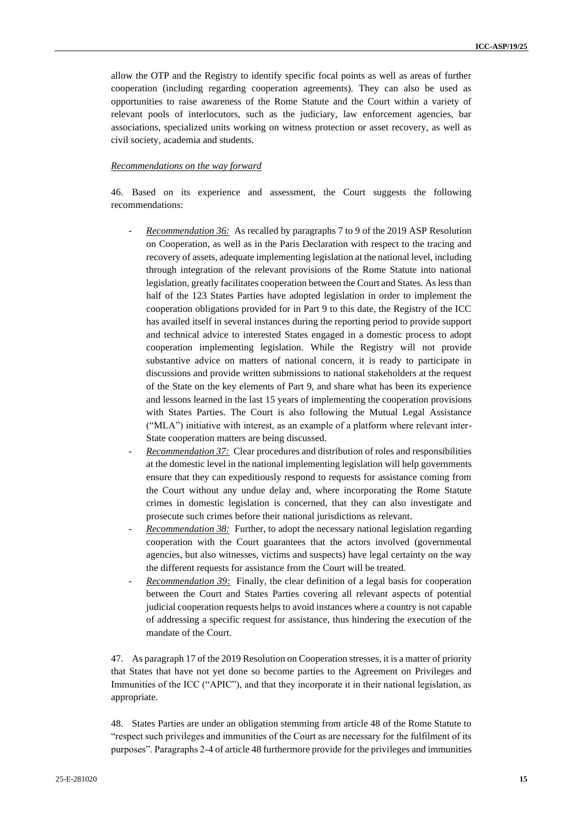allow the OTP and the Registry to identify specific focal points as well as areas of further cooperation (including regarding cooperation agreements). They can also be used as opportunities to raise awareness of the Rome Statute and the Court within a variety of relevant pools of interlocutors, such as the judiciary, law enforcement agencies, bar associations, specialized units working on witness protection or asset recovery, as well as civil society, academia and students.

#### *Recommendations on the way forward*

46. Based on its experience and assessment, the Court suggests the following recommendations:

- *Recommendation 36:* As recalled by paragraphs 7 to 9 of the 2019 ASP Resolution on Cooperation, as well as in the Paris Declaration with respect to the tracing and recovery of assets, adequate implementing legislation at the national level, including through integration of the relevant provisions of the Rome Statute into national legislation, greatly facilitates cooperation between the Court and States. As less than half of the 123 States Parties have adopted legislation in order to implement the cooperation obligations provided for in Part 9 to this date, the Registry of the ICC has availed itself in several instances during the reporting period to provide support and technical advice to interested States engaged in a domestic process to adopt cooperation implementing legislation. While the Registry will not provide substantive advice on matters of national concern, it is ready to participate in discussions and provide written submissions to national stakeholders at the request of the State on the key elements of Part 9, and share what has been its experience and lessons learned in the last 15 years of implementing the cooperation provisions with States Parties. The Court is also following the Mutual Legal Assistance ("MLA") initiative with interest, as an example of a platform where relevant inter-State cooperation matters are being discussed.
- *Recommendation 37:* Clear procedures and distribution of roles and responsibilities at the domestic level in the national implementing legislation will help governments ensure that they can expeditiously respond to requests for assistance coming from the Court without any undue delay and, where incorporating the Rome Statute crimes in domestic legislation is concerned, that they can also investigate and prosecute such crimes before their national jurisdictions as relevant.
- *Recommendation 38:* Further, to adopt the necessary national legislation regarding cooperation with the Court guarantees that the actors involved (governmental agencies, but also witnesses, victims and suspects) have legal certainty on the way the different requests for assistance from the Court will be treated.
- *Recommendation 39:* Finally, the clear definition of a legal basis for cooperation between the Court and States Parties covering all relevant aspects of potential judicial cooperation requests helps to avoid instances where a country is not capable of addressing a specific request for assistance, thus hindering the execution of the mandate of the Court.

47. As paragraph 17 of the 2019 Resolution on Cooperation stresses, it is a matter of priority that States that have not yet done so become parties to the Agreement on Privileges and Immunities of the ICC ("APIC"), and that they incorporate it in their national legislation, as appropriate.

48. States Parties are under an obligation stemming from article 48 of the Rome Statute to "respect such privileges and immunities of the Court as are necessary for the fulfilment of its purposes". Paragraphs 2-4 of article 48 furthermore provide for the privileges and immunities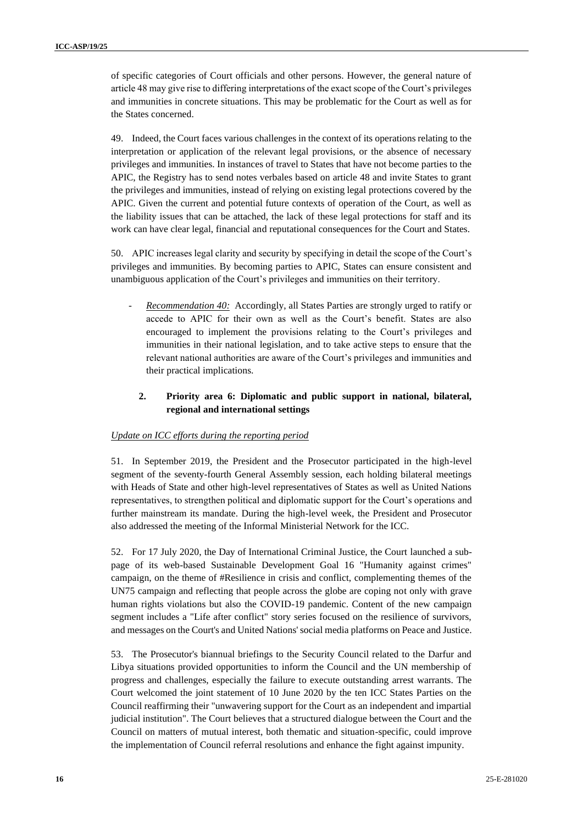of specific categories of Court officials and other persons. However, the general nature of article 48 may give rise to differing interpretations of the exact scope of the Court's privileges and immunities in concrete situations. This may be problematic for the Court as well as for the States concerned.

49. Indeed, the Court faces various challenges in the context of its operations relating to the interpretation or application of the relevant legal provisions, or the absence of necessary privileges and immunities. In instances of travel to States that have not become parties to the APIC, the Registry has to send notes verbales based on article 48 and invite States to grant the privileges and immunities, instead of relying on existing legal protections covered by the APIC. Given the current and potential future contexts of operation of the Court, as well as the liability issues that can be attached, the lack of these legal protections for staff and its work can have clear legal, financial and reputational consequences for the Court and States.

50. APIC increases legal clarity and security by specifying in detail the scope of the Court's privileges and immunities. By becoming parties to APIC, States can ensure consistent and unambiguous application of the Court's privileges and immunities on their territory.

- *Recommendation 40:* Accordingly, all States Parties are strongly urged to ratify or accede to APIC for their own as well as the Court's benefit. States are also encouraged to implement the provisions relating to the Court's privileges and immunities in their national legislation, and to take active steps to ensure that the relevant national authorities are aware of the Court's privileges and immunities and their practical implications.

# **2. Priority area 6: Diplomatic and public support in national, bilateral, regional and international settings**

#### *Update on ICC efforts during the reporting period*

51. In September 2019, the President and the Prosecutor participated in the high-level segment of the seventy-fourth General Assembly session, each holding bilateral meetings with Heads of State and other high-level representatives of States as well as United Nations representatives, to strengthen political and diplomatic support for the Court's operations and further mainstream its mandate. During the high-level week, the President and Prosecutor also addressed the meeting of the Informal Ministerial Network for the ICC.

52. For 17 July 2020, the Day of International Criminal Justice, the Court launched a subpage of its web-based Sustainable Development Goal 16 "Humanity against crimes" campaign, on the theme of #Resilience in crisis and conflict, complementing themes of the UN75 campaign and reflecting that people across the globe are coping not only with grave human rights violations but also the COVID-19 pandemic. Content of the new campaign segment includes a "Life after conflict" story series focused on the resilience of survivors, and messages on the Court's and United Nations' social media platforms on Peace and Justice.

53. The Prosecutor's biannual briefings to the Security Council related to the Darfur and Libya situations provided opportunities to inform the Council and the UN membership of progress and challenges, especially the failure to execute outstanding arrest warrants. The Court welcomed the joint statement of 10 June 2020 by the ten ICC States Parties on the Council reaffirming their "unwavering support for the Court as an independent and impartial judicial institution". The Court believes that a structured dialogue between the Court and the Council on matters of mutual interest, both thematic and situation-specific, could improve the implementation of Council referral resolutions and enhance the fight against impunity.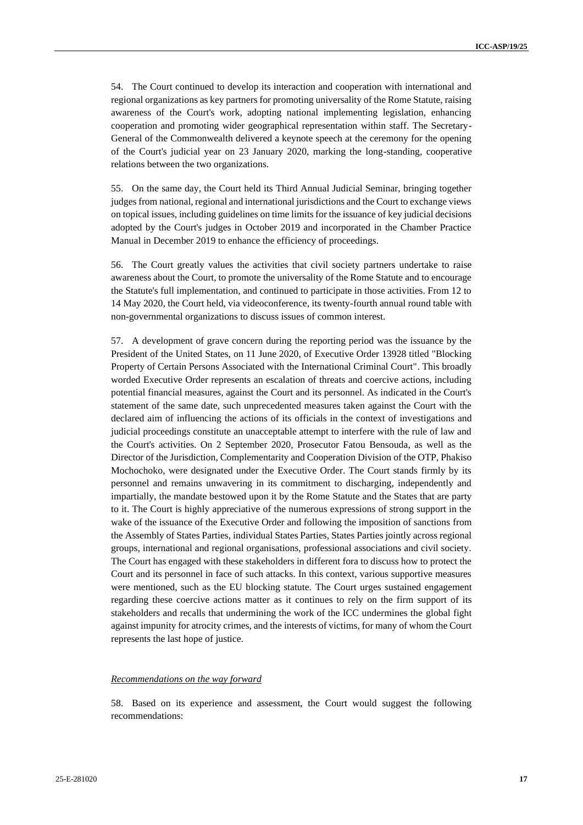54. The Court continued to develop its interaction and cooperation with international and regional organizations as key partners for promoting universality of the Rome Statute, raising awareness of the Court's work, adopting national implementing legislation, enhancing cooperation and promoting wider geographical representation within staff. The Secretary-General of the Commonwealth delivered a keynote speech at the ceremony for the opening of the Court's judicial year on 23 January 2020, marking the long-standing, cooperative relations between the two organizations.

55. On the same day, the Court held its Third Annual Judicial Seminar, bringing together judges from national, regional and international jurisdictions and the Court to exchange views on topical issues, including guidelines on time limits for the issuance of key judicial decisions adopted by the Court's judges in October 2019 and incorporated in the Chamber Practice Manual in December 2019 to enhance the efficiency of proceedings.

56. The Court greatly values the activities that civil society partners undertake to raise awareness about the Court, to promote the universality of the Rome Statute and to encourage the Statute's full implementation, and continued to participate in those activities. From 12 to 14 May 2020, the Court held, via videoconference, its twenty-fourth annual round table with non-governmental organizations to discuss issues of common interest.

57. A development of grave concern during the reporting period was the issuance by the President of the United States, on 11 June 2020, of Executive Order 13928 titled "Blocking Property of Certain Persons Associated with the International Criminal Court". This broadly worded Executive Order represents an escalation of threats and coercive actions, including potential financial measures, against the Court and its personnel. As indicated in the Court's statement of the same date, such unprecedented measures taken against the Court with the declared aim of influencing the actions of its officials in the context of investigations and judicial proceedings constitute an unacceptable attempt to interfere with the rule of law and the Court's activities. On 2 September 2020, Prosecutor Fatou Bensouda, as well as the Director of the Jurisdiction, Complementarity and Cooperation Division of the OTP, Phakiso Mochochoko, were designated under the Executive Order. The Court stands firmly by its personnel and remains unwavering in its commitment to discharging, independently and impartially, the mandate bestowed upon it by the Rome Statute and the States that are party to it. The Court is highly appreciative of the numerous expressions of strong support in the wake of the issuance of the Executive Order and following the imposition of sanctions from the Assembly of States Parties, individual States Parties, States Parties jointly across regional groups, international and regional organisations, professional associations and civil society. The Court has engaged with these stakeholders in different fora to discuss how to protect the Court and its personnel in face of such attacks. In this context, various supportive measures were mentioned, such as the EU blocking statute. The Court urges sustained engagement regarding these coercive actions matter as it continues to rely on the firm support of its stakeholders and recalls that undermining the work of the ICC undermines the global fight against impunity for atrocity crimes, and the interests of victims, for many of whom the Court represents the last hope of justice.

#### *Recommendations on the way forward*

58. Based on its experience and assessment, the Court would suggest the following recommendations: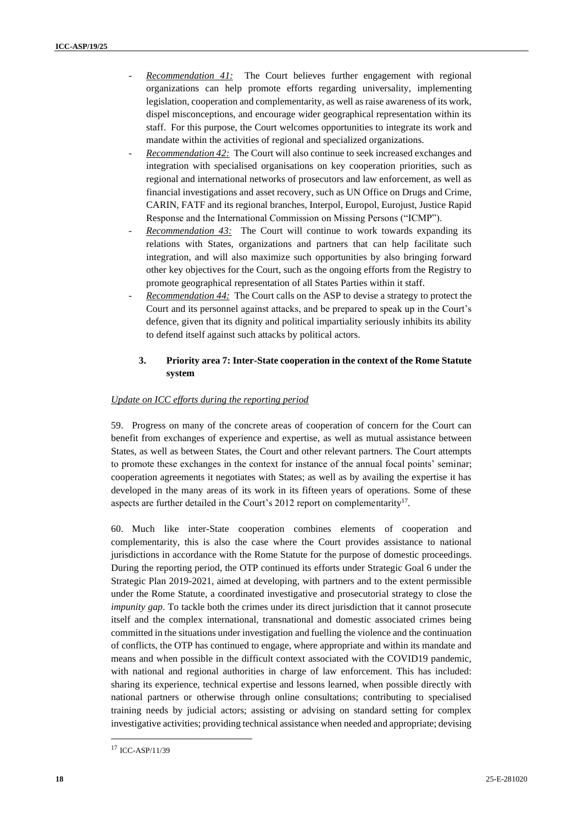- *Recommendation 41:* The Court believes further engagement with regional organizations can help promote efforts regarding universality, implementing legislation, cooperation and complementarity, as well as raise awareness of its work, dispel misconceptions, and encourage wider geographical representation within its staff. For this purpose, the Court welcomes opportunities to integrate its work and mandate within the activities of regional and specialized organizations.
- *Recommendation 42:* The Court will also continue to seek increased exchanges and integration with specialised organisations on key cooperation priorities, such as regional and international networks of prosecutors and law enforcement, as well as financial investigations and asset recovery, such as UN Office on Drugs and Crime, CARIN, FATF and its regional branches, Interpol, Europol, Eurojust, Justice Rapid Response and the International Commission on Missing Persons ("ICMP").
- *Recommendation 43:* The Court will continue to work towards expanding its relations with States, organizations and partners that can help facilitate such integration, and will also maximize such opportunities by also bringing forward other key objectives for the Court, such as the ongoing efforts from the Registry to promote geographical representation of all States Parties within it staff.
- *Recommendation 44:* The Court calls on the ASP to devise a strategy to protect the Court and its personnel against attacks, and be prepared to speak up in the Court's defence, given that its dignity and political impartiality seriously inhibits its ability to defend itself against such attacks by political actors.

# **3. Priority area 7: Inter-State cooperation in the context of the Rome Statute system**

# *Update on ICC efforts during the reporting period*

59. Progress on many of the concrete areas of cooperation of concern for the Court can benefit from exchanges of experience and expertise, as well as mutual assistance between States, as well as between States, the Court and other relevant partners. The Court attempts to promote these exchanges in the context for instance of the annual focal points' seminar; cooperation agreements it negotiates with States; as well as by availing the expertise it has developed in the many areas of its work in its fifteen years of operations. Some of these aspects are further detailed in the Court's 2012 report on complementarity<sup>17</sup>.

60. Much like inter-State cooperation combines elements of cooperation and complementarity, this is also the case where the Court provides assistance to national jurisdictions in accordance with the Rome Statute for the purpose of domestic proceedings. During the reporting period, the OTP continued its efforts under Strategic Goal 6 under the Strategic Plan 2019-2021, aimed at developing, with partners and to the extent permissible under the Rome Statute, a coordinated investigative and prosecutorial strategy to close the *impunity gap*. To tackle both the crimes under its direct jurisdiction that it cannot prosecute itself and the complex international, transnational and domestic associated crimes being committed in the situations under investigation and fuelling the violence and the continuation of conflicts, the OTP has continued to engage, where appropriate and within its mandate and means and when possible in the difficult context associated with the COVID19 pandemic, with national and regional authorities in charge of law enforcement. This has included: sharing its experience, technical expertise and lessons learned, when possible directly with national partners or otherwise through online consultations; contributing to specialised training needs by judicial actors; assisting or advising on standard setting for complex investigative activities; providing technical assistance when needed and appropriate; devising

<sup>17</sup> ICC-ASP/11/39